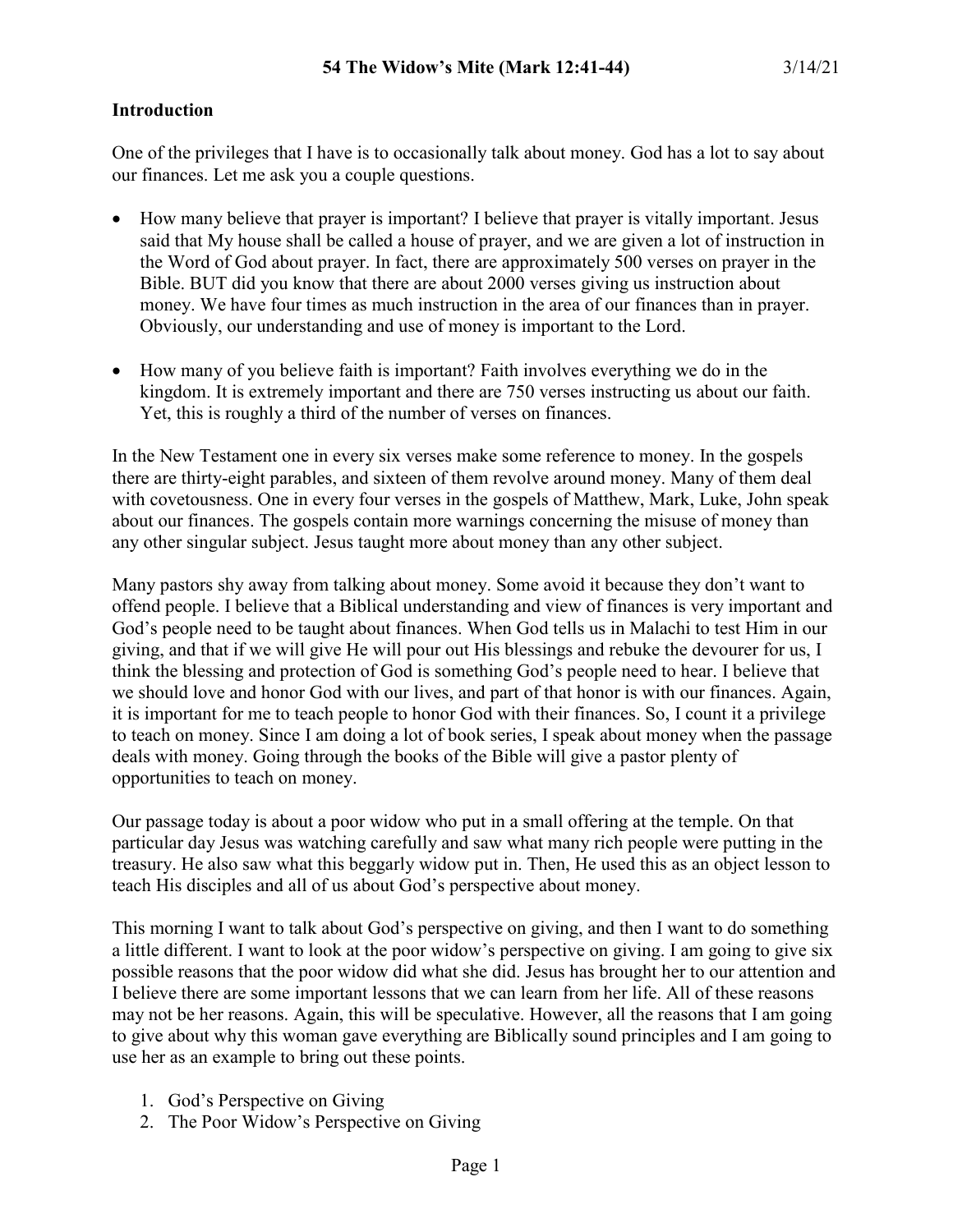### **Introduction**

One of the privileges that I have is to occasionally talk about money. God has a lot to say about our finances. Let me ask you a couple questions.

- How many believe that prayer is important? I believe that prayer is vitally important. Jesus said that My house shall be called a house of prayer, and we are given a lot of instruction in the Word of God about prayer. In fact, there are approximately 500 verses on prayer in the Bible. BUT did you know that there are about 2000 verses giving us instruction about money. We have four times as much instruction in the area of our finances than in prayer. Obviously, our understanding and use of money is important to the Lord.
- How many of you believe faith is important? Faith involves everything we do in the kingdom. It is extremely important and there are 750 verses instructing us about our faith. Yet, this is roughly a third of the number of verses on finances.

In the New Testament one in every six verses make some reference to money. In the gospels there are thirty-eight parables, and sixteen of them revolve around money. Many of them deal with covetousness. One in every four verses in the gospels of Matthew, Mark, Luke, John speak about our finances. The gospels contain more warnings concerning the misuse of money than any other singular subject. Jesus taught more about money than any other subject.

Many pastors shy away from talking about money. Some avoid it because they don't want to offend people. I believe that a Biblical understanding and view of finances is very important and God's people need to be taught about finances. When God tells us in Malachi to test Him in our giving, and that if we will give He will pour out His blessings and rebuke the devourer for us, I think the blessing and protection of God is something God's people need to hear. I believe that we should love and honor God with our lives, and part of that honor is with our finances. Again, it is important for me to teach people to honor God with their finances. So, I count it a privilege to teach on money. Since I am doing a lot of book series, I speak about money when the passage deals with money. Going through the books of the Bible will give a pastor plenty of opportunities to teach on money.

Our passage today is about a poor widow who put in a small offering at the temple. On that particular day Jesus was watching carefully and saw what many rich people were putting in the treasury. He also saw what this beggarly widow put in. Then, He used this as an object lesson to teach His disciples and all of us about God's perspective about money.

This morning I want to talk about God's perspective on giving, and then I want to do something a little different. I want to look at the poor widow's perspective on giving. I am going to give six possible reasons that the poor widow did what she did. Jesus has brought her to our attention and I believe there are some important lessons that we can learn from her life. All of these reasons may not be her reasons. Again, this will be speculative. However, all the reasons that I am going to give about why this woman gave everything are Biblically sound principles and I am going to use her as an example to bring out these points.

- 1. God's Perspective on Giving
- 2. The Poor Widow's Perspective on Giving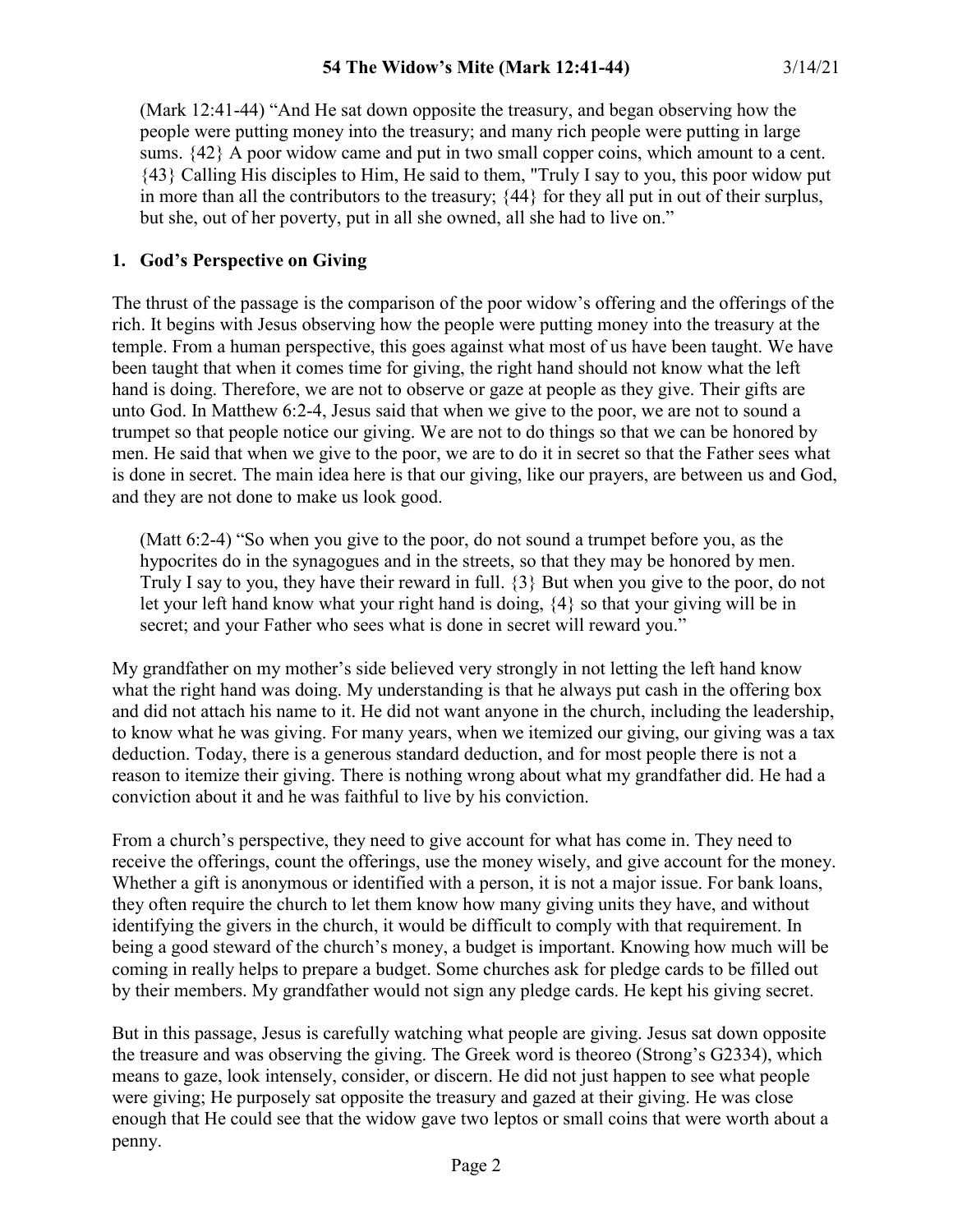(Mark 12:41-44) "And He sat down opposite the treasury, and began observing how the people were putting money into the treasury; and many rich people were putting in large sums. {42} A poor widow came and put in two small copper coins, which amount to a cent. {43} Calling His disciples to Him, He said to them, "Truly I say to you, this poor widow put in more than all the contributors to the treasury; {44} for they all put in out of their surplus, but she, out of her poverty, put in all she owned, all she had to live on."

#### **1. God's Perspective on Giving**

The thrust of the passage is the comparison of the poor widow's offering and the offerings of the rich. It begins with Jesus observing how the people were putting money into the treasury at the temple. From a human perspective, this goes against what most of us have been taught. We have been taught that when it comes time for giving, the right hand should not know what the left hand is doing. Therefore, we are not to observe or gaze at people as they give. Their gifts are unto God. In Matthew 6:2-4, Jesus said that when we give to the poor, we are not to sound a trumpet so that people notice our giving. We are not to do things so that we can be honored by men. He said that when we give to the poor, we are to do it in secret so that the Father sees what is done in secret. The main idea here is that our giving, like our prayers, are between us and God, and they are not done to make us look good.

(Matt 6:2-4) "So when you give to the poor, do not sound a trumpet before you, as the hypocrites do in the synagogues and in the streets, so that they may be honored by men. Truly I say to you, they have their reward in full. {3} But when you give to the poor, do not let your left hand know what your right hand is doing, {4} so that your giving will be in secret; and your Father who sees what is done in secret will reward you."

My grandfather on my mother's side believed very strongly in not letting the left hand know what the right hand was doing. My understanding is that he always put cash in the offering box and did not attach his name to it. He did not want anyone in the church, including the leadership, to know what he was giving. For many years, when we itemized our giving, our giving was a tax deduction. Today, there is a generous standard deduction, and for most people there is not a reason to itemize their giving. There is nothing wrong about what my grandfather did. He had a conviction about it and he was faithful to live by his conviction.

From a church's perspective, they need to give account for what has come in. They need to receive the offerings, count the offerings, use the money wisely, and give account for the money. Whether a gift is anonymous or identified with a person, it is not a major issue. For bank loans, they often require the church to let them know how many giving units they have, and without identifying the givers in the church, it would be difficult to comply with that requirement. In being a good steward of the church's money, a budget is important. Knowing how much will be coming in really helps to prepare a budget. Some churches ask for pledge cards to be filled out by their members. My grandfather would not sign any pledge cards. He kept his giving secret.

But in this passage, Jesus is carefully watching what people are giving. Jesus sat down opposite the treasure and was observing the giving. The Greek word is theoreo (Strong's G2334), which means to gaze, look intensely, consider, or discern. He did not just happen to see what people were giving; He purposely sat opposite the treasury and gazed at their giving. He was close enough that He could see that the widow gave two leptos or small coins that were worth about a penny.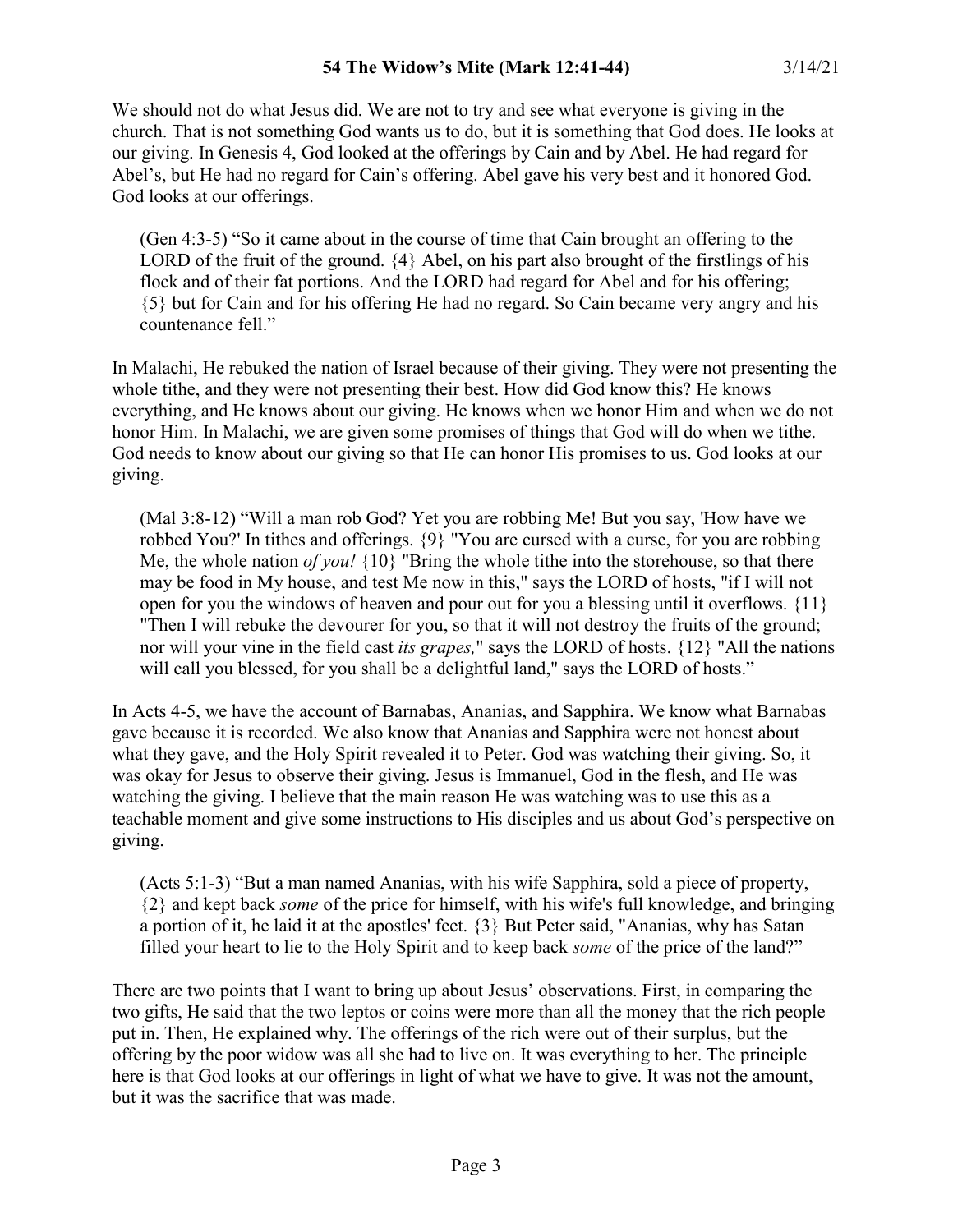We should not do what Jesus did. We are not to try and see what everyone is giving in the church. That is not something God wants us to do, but it is something that God does. He looks at our giving. In Genesis 4, God looked at the offerings by Cain and by Abel. He had regard for Abel's, but He had no regard for Cain's offering. Abel gave his very best and it honored God. God looks at our offerings.

(Gen 4:3-5) "So it came about in the course of time that Cain brought an offering to the LORD of the fruit of the ground.  $\{4\}$  Abel, on his part also brought of the firstlings of his flock and of their fat portions. And the LORD had regard for Abel and for his offering; {5} but for Cain and for his offering He had no regard. So Cain became very angry and his countenance fell."

In Malachi, He rebuked the nation of Israel because of their giving. They were not presenting the whole tithe, and they were not presenting their best. How did God know this? He knows everything, and He knows about our giving. He knows when we honor Him and when we do not honor Him. In Malachi, we are given some promises of things that God will do when we tithe. God needs to know about our giving so that He can honor His promises to us. God looks at our giving.

(Mal 3:8-12) "Will a man rob God? Yet you are robbing Me! But you say, 'How have we robbed You?' In tithes and offerings. {9} "You are cursed with a curse, for you are robbing Me, the whole nation *of you!* {10} "Bring the whole tithe into the storehouse, so that there may be food in My house, and test Me now in this," says the LORD of hosts, "if I will not open for you the windows of heaven and pour out for you a blessing until it overflows. {11} "Then I will rebuke the devourer for you, so that it will not destroy the fruits of the ground; nor will your vine in the field cast *its grapes,*" says the LORD of hosts. {12} "All the nations will call you blessed, for you shall be a delightful land," says the LORD of hosts."

In Acts 4-5, we have the account of Barnabas, Ananias, and Sapphira. We know what Barnabas gave because it is recorded. We also know that Ananias and Sapphira were not honest about what they gave, and the Holy Spirit revealed it to Peter. God was watching their giving. So, it was okay for Jesus to observe their giving. Jesus is Immanuel, God in the flesh, and He was watching the giving. I believe that the main reason He was watching was to use this as a teachable moment and give some instructions to His disciples and us about God's perspective on giving.

(Acts 5:1-3) "But a man named Ananias, with his wife Sapphira, sold a piece of property, {2} and kept back *some* of the price for himself, with his wife's full knowledge, and bringing a portion of it, he laid it at the apostles' feet. {3} But Peter said, "Ananias, why has Satan filled your heart to lie to the Holy Spirit and to keep back *some* of the price of the land?"

There are two points that I want to bring up about Jesus' observations. First, in comparing the two gifts, He said that the two leptos or coins were more than all the money that the rich people put in. Then, He explained why. The offerings of the rich were out of their surplus, but the offering by the poor widow was all she had to live on. It was everything to her. The principle here is that God looks at our offerings in light of what we have to give. It was not the amount, but it was the sacrifice that was made.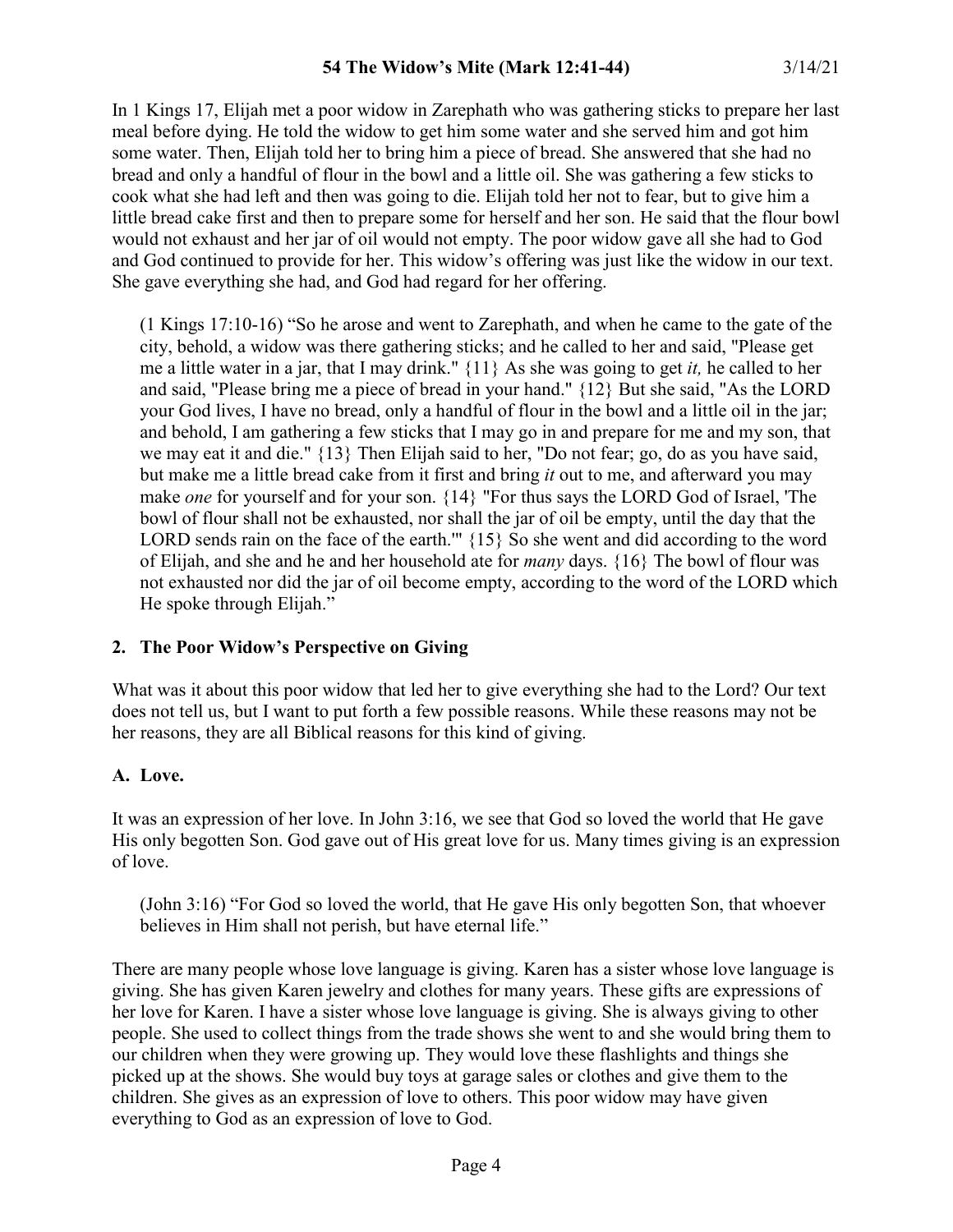In 1 Kings 17, Elijah met a poor widow in Zarephath who was gathering sticks to prepare her last meal before dying. He told the widow to get him some water and she served him and got him some water. Then, Elijah told her to bring him a piece of bread. She answered that she had no bread and only a handful of flour in the bowl and a little oil. She was gathering a few sticks to cook what she had left and then was going to die. Elijah told her not to fear, but to give him a little bread cake first and then to prepare some for herself and her son. He said that the flour bowl would not exhaust and her jar of oil would not empty. The poor widow gave all she had to God and God continued to provide for her. This widow's offering was just like the widow in our text. She gave everything she had, and God had regard for her offering.

(1 Kings 17:10-16) "So he arose and went to Zarephath, and when he came to the gate of the city, behold, a widow was there gathering sticks; and he called to her and said, "Please get me a little water in a jar, that I may drink." {11} As she was going to get *it,* he called to her and said, "Please bring me a piece of bread in your hand." {12} But she said, "As the LORD your God lives, I have no bread, only a handful of flour in the bowl and a little oil in the jar; and behold, I am gathering a few sticks that I may go in and prepare for me and my son, that we may eat it and die." {13} Then Elijah said to her, "Do not fear; go, do as you have said, but make me a little bread cake from it first and bring *it* out to me, and afterward you may make *one* for yourself and for your son. {14} "For thus says the LORD God of Israel, 'The bowl of flour shall not be exhausted, nor shall the jar of oil be empty, until the day that the LORD sends rain on the face of the earth."' {15} So she went and did according to the word of Elijah, and she and he and her household ate for *many* days. {16} The bowl of flour was not exhausted nor did the jar of oil become empty, according to the word of the LORD which He spoke through Elijah."

## **2. The Poor Widow's Perspective on Giving**

What was it about this poor widow that led her to give everything she had to the Lord? Our text does not tell us, but I want to put forth a few possible reasons. While these reasons may not be her reasons, they are all Biblical reasons for this kind of giving.

## **A. Love.**

It was an expression of her love. In John 3:16, we see that God so loved the world that He gave His only begotten Son. God gave out of His great love for us. Many times giving is an expression of love.

(John 3:16) "For God so loved the world, that He gave His only begotten Son, that whoever believes in Him shall not perish, but have eternal life."

There are many people whose love language is giving. Karen has a sister whose love language is giving. She has given Karen jewelry and clothes for many years. These gifts are expressions of her love for Karen. I have a sister whose love language is giving. She is always giving to other people. She used to collect things from the trade shows she went to and she would bring them to our children when they were growing up. They would love these flashlights and things she picked up at the shows. She would buy toys at garage sales or clothes and give them to the children. She gives as an expression of love to others. This poor widow may have given everything to God as an expression of love to God.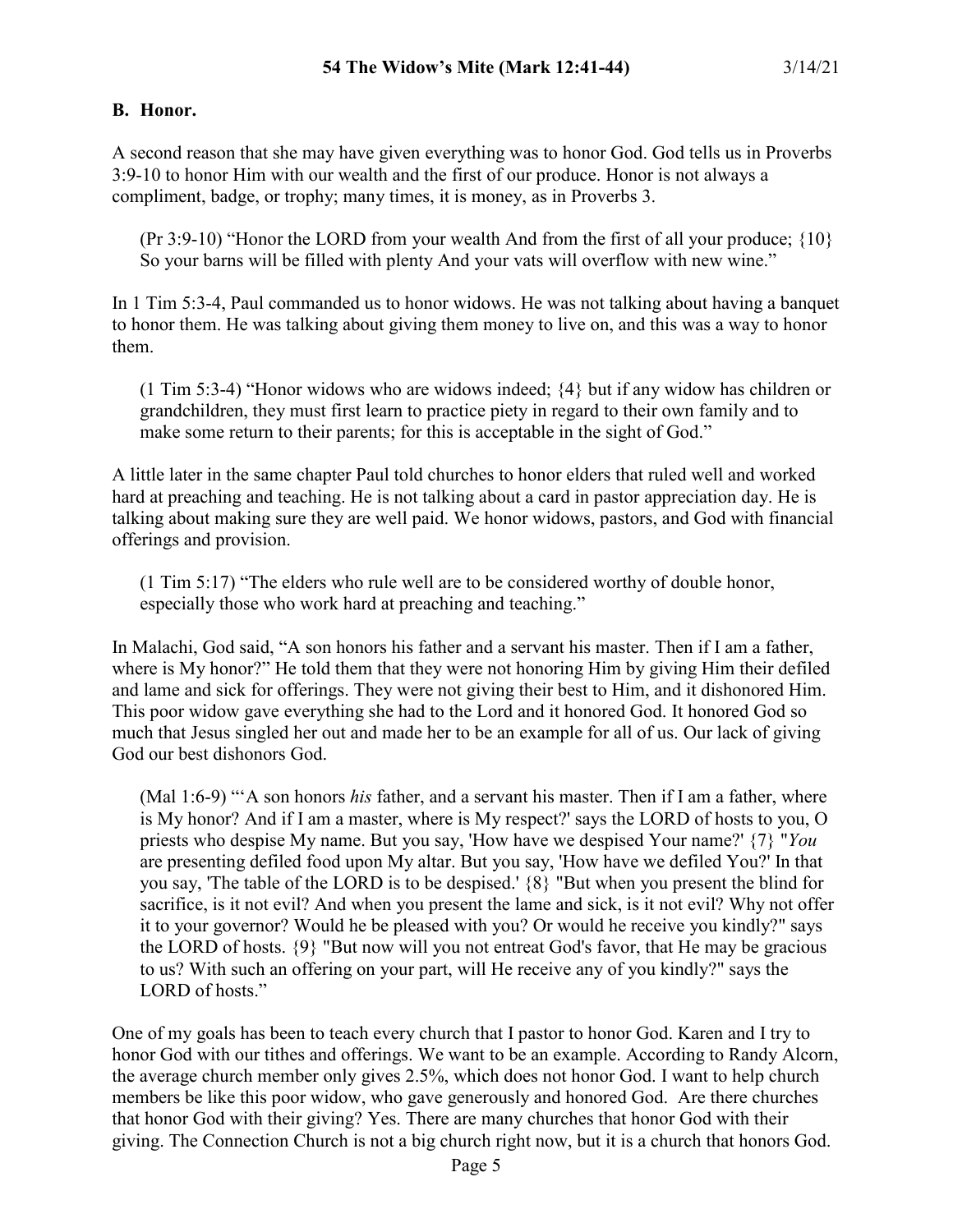### **B. Honor.**

A second reason that she may have given everything was to honor God. God tells us in Proverbs 3:9-10 to honor Him with our wealth and the first of our produce. Honor is not always a compliment, badge, or trophy; many times, it is money, as in Proverbs 3.

(Pr 3:9-10) "Honor the LORD from your wealth And from the first of all your produce; {10} So your barns will be filled with plenty And your vats will overflow with new wine."

In 1 Tim 5:3-4, Paul commanded us to honor widows. He was not talking about having a banquet to honor them. He was talking about giving them money to live on, and this was a way to honor them.

(1 Tim 5:3-4) "Honor widows who are widows indeed; {4} but if any widow has children or grandchildren, they must first learn to practice piety in regard to their own family and to make some return to their parents; for this is acceptable in the sight of God."

A little later in the same chapter Paul told churches to honor elders that ruled well and worked hard at preaching and teaching. He is not talking about a card in pastor appreciation day. He is talking about making sure they are well paid. We honor widows, pastors, and God with financial offerings and provision.

(1 Tim 5:17) "The elders who rule well are to be considered worthy of double honor, especially those who work hard at preaching and teaching."

In Malachi, God said, "A son honors his father and a servant his master. Then if I am a father, where is My honor?" He told them that they were not honoring Him by giving Him their defiled and lame and sick for offerings. They were not giving their best to Him, and it dishonored Him. This poor widow gave everything she had to the Lord and it honored God. It honored God so much that Jesus singled her out and made her to be an example for all of us. Our lack of giving God our best dishonors God.

(Mal 1:6-9) "'A son honors *his* father, and a servant his master. Then if I am a father, where is My honor? And if I am a master, where is My respect?' says the LORD of hosts to you, O priests who despise My name. But you say, 'How have we despised Your name?' {7} "*You* are presenting defiled food upon My altar. But you say, 'How have we defiled You?' In that you say, 'The table of the LORD is to be despised.' {8} "But when you present the blind for sacrifice, is it not evil? And when you present the lame and sick, is it not evil? Why not offer it to your governor? Would he be pleased with you? Or would he receive you kindly?" says the LORD of hosts. {9} "But now will you not entreat God's favor, that He may be gracious to us? With such an offering on your part, will He receive any of you kindly?" says the LORD of hosts."

One of my goals has been to teach every church that I pastor to honor God. Karen and I try to honor God with our tithes and offerings. We want to be an example. According to Randy Alcorn, the average church member only gives 2.5%, which does not honor God. I want to help church members be like this poor widow, who gave generously and honored God. Are there churches that honor God with their giving? Yes. There are many churches that honor God with their giving. The Connection Church is not a big church right now, but it is a church that honors God.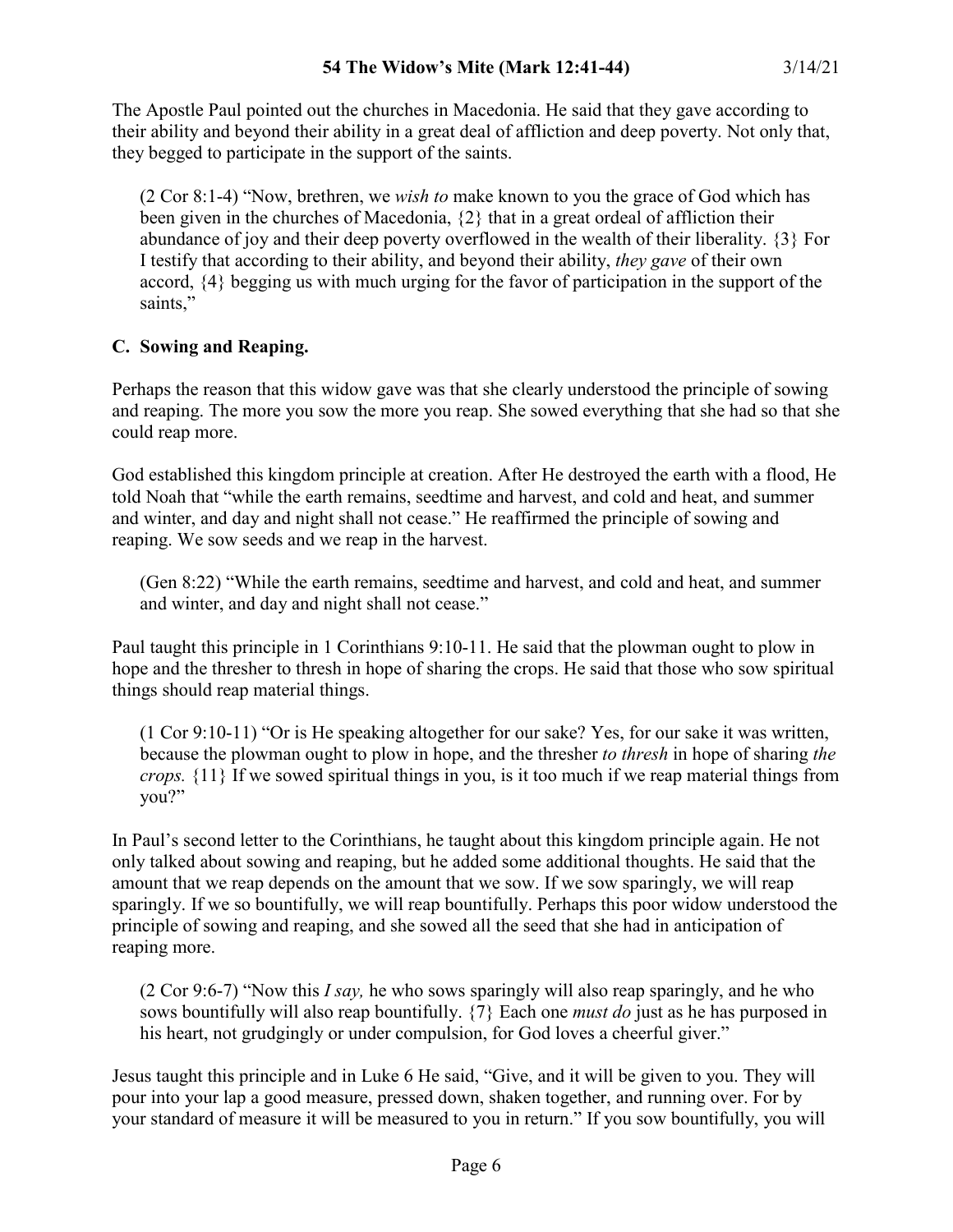The Apostle Paul pointed out the churches in Macedonia. He said that they gave according to their ability and beyond their ability in a great deal of affliction and deep poverty. Not only that, they begged to participate in the support of the saints.

(2 Cor 8:1-4) "Now, brethren, we *wish to* make known to you the grace of God which has been given in the churches of Macedonia, {2} that in a great ordeal of affliction their abundance of joy and their deep poverty overflowed in the wealth of their liberality. {3} For I testify that according to their ability, and beyond their ability, *they gave* of their own accord, {4} begging us with much urging for the favor of participation in the support of the saints,"

# **C. Sowing and Reaping.**

Perhaps the reason that this widow gave was that she clearly understood the principle of sowing and reaping. The more you sow the more you reap. She sowed everything that she had so that she could reap more.

God established this kingdom principle at creation. After He destroyed the earth with a flood, He told Noah that "while the earth remains, seedtime and harvest, and cold and heat, and summer and winter, and day and night shall not cease." He reaffirmed the principle of sowing and reaping. We sow seeds and we reap in the harvest.

(Gen 8:22) "While the earth remains, seedtime and harvest, and cold and heat, and summer and winter, and day and night shall not cease."

Paul taught this principle in 1 Corinthians 9:10-11. He said that the plowman ought to plow in hope and the thresher to thresh in hope of sharing the crops. He said that those who sow spiritual things should reap material things.

(1 Cor 9:10-11) "Or is He speaking altogether for our sake? Yes, for our sake it was written, because the plowman ought to plow in hope, and the thresher *to thresh* in hope of sharing *the crops.* {11} If we sowed spiritual things in you, is it too much if we reap material things from you?"

In Paul's second letter to the Corinthians, he taught about this kingdom principle again. He not only talked about sowing and reaping, but he added some additional thoughts. He said that the amount that we reap depends on the amount that we sow. If we sow sparingly, we will reap sparingly. If we so bountifully, we will reap bountifully. Perhaps this poor widow understood the principle of sowing and reaping, and she sowed all the seed that she had in anticipation of reaping more.

(2 Cor 9:6-7) "Now this *I say,* he who sows sparingly will also reap sparingly, and he who sows bountifully will also reap bountifully. {7} Each one *must do* just as he has purposed in his heart, not grudgingly or under compulsion, for God loves a cheerful giver."

Jesus taught this principle and in Luke 6 He said, "Give, and it will be given to you. They will pour into your lap a good measure, pressed down, shaken together, and running over. For by your standard of measure it will be measured to you in return." If you sow bountifully, you will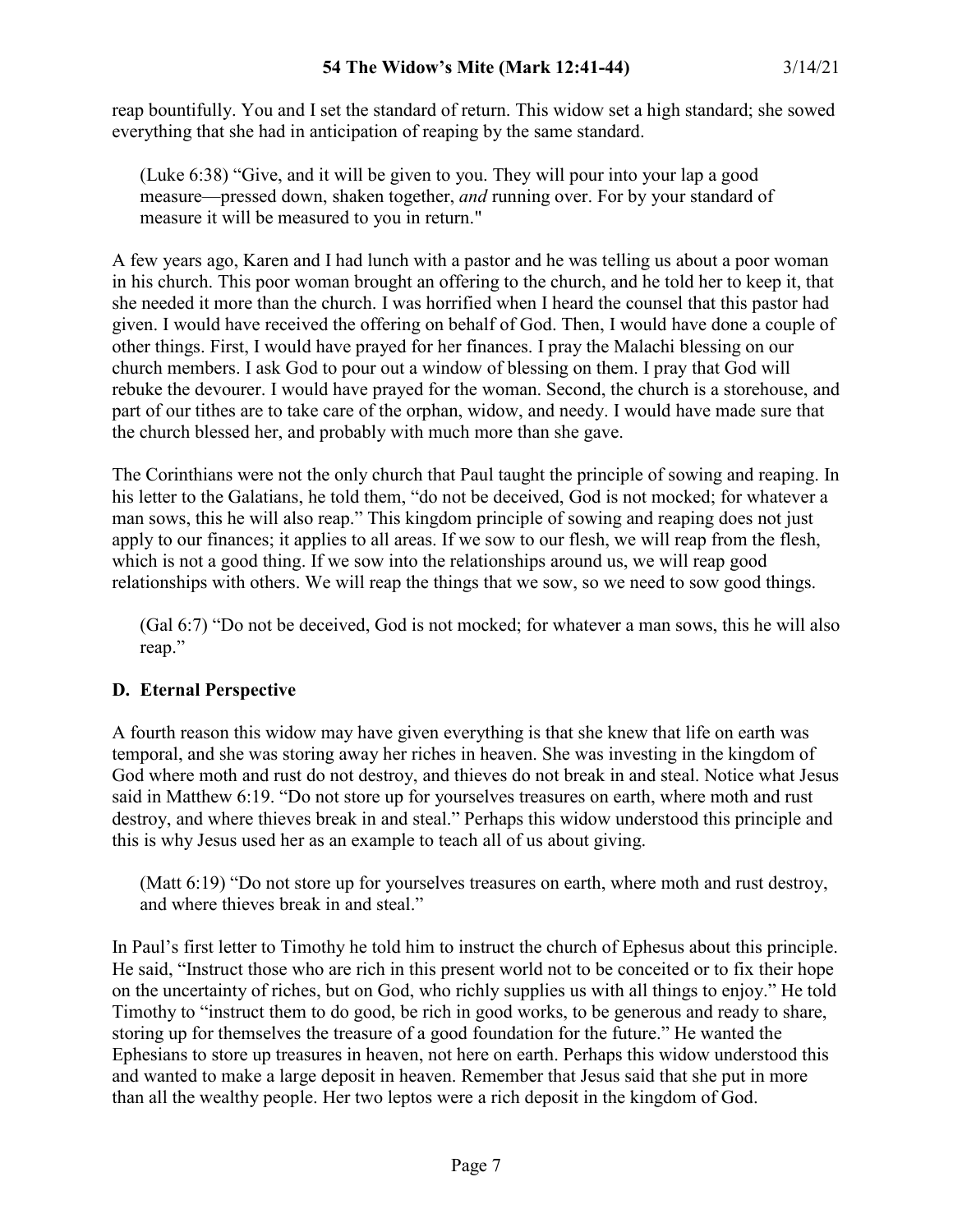reap bountifully. You and I set the standard of return. This widow set a high standard; she sowed everything that she had in anticipation of reaping by the same standard.

(Luke 6:38) "Give, and it will be given to you. They will pour into your lap a good measure—pressed down, shaken together, *and* running over. For by your standard of measure it will be measured to you in return."

A few years ago, Karen and I had lunch with a pastor and he was telling us about a poor woman in his church. This poor woman brought an offering to the church, and he told her to keep it, that she needed it more than the church. I was horrified when I heard the counsel that this pastor had given. I would have received the offering on behalf of God. Then, I would have done a couple of other things. First, I would have prayed for her finances. I pray the Malachi blessing on our church members. I ask God to pour out a window of blessing on them. I pray that God will rebuke the devourer. I would have prayed for the woman. Second, the church is a storehouse, and part of our tithes are to take care of the orphan, widow, and needy. I would have made sure that the church blessed her, and probably with much more than she gave.

The Corinthians were not the only church that Paul taught the principle of sowing and reaping. In his letter to the Galatians, he told them, "do not be deceived, God is not mocked; for whatever a man sows, this he will also reap." This kingdom principle of sowing and reaping does not just apply to our finances; it applies to all areas. If we sow to our flesh, we will reap from the flesh, which is not a good thing. If we sow into the relationships around us, we will reap good relationships with others. We will reap the things that we sow, so we need to sow good things.

(Gal 6:7) "Do not be deceived, God is not mocked; for whatever a man sows, this he will also reap."

## **D. Eternal Perspective**

A fourth reason this widow may have given everything is that she knew that life on earth was temporal, and she was storing away her riches in heaven. She was investing in the kingdom of God where moth and rust do not destroy, and thieves do not break in and steal. Notice what Jesus said in Matthew 6:19. "Do not store up for yourselves treasures on earth, where moth and rust destroy, and where thieves break in and steal." Perhaps this widow understood this principle and this is why Jesus used her as an example to teach all of us about giving.

(Matt 6:19) "Do not store up for yourselves treasures on earth, where moth and rust destroy, and where thieves break in and steal."

In Paul's first letter to Timothy he told him to instruct the church of Ephesus about this principle. He said, "Instruct those who are rich in this present world not to be conceited or to fix their hope on the uncertainty of riches, but on God, who richly supplies us with all things to enjoy." He told Timothy to "instruct them to do good, be rich in good works, to be generous and ready to share, storing up for themselves the treasure of a good foundation for the future." He wanted the Ephesians to store up treasures in heaven, not here on earth. Perhaps this widow understood this and wanted to make a large deposit in heaven. Remember that Jesus said that she put in more than all the wealthy people. Her two leptos were a rich deposit in the kingdom of God.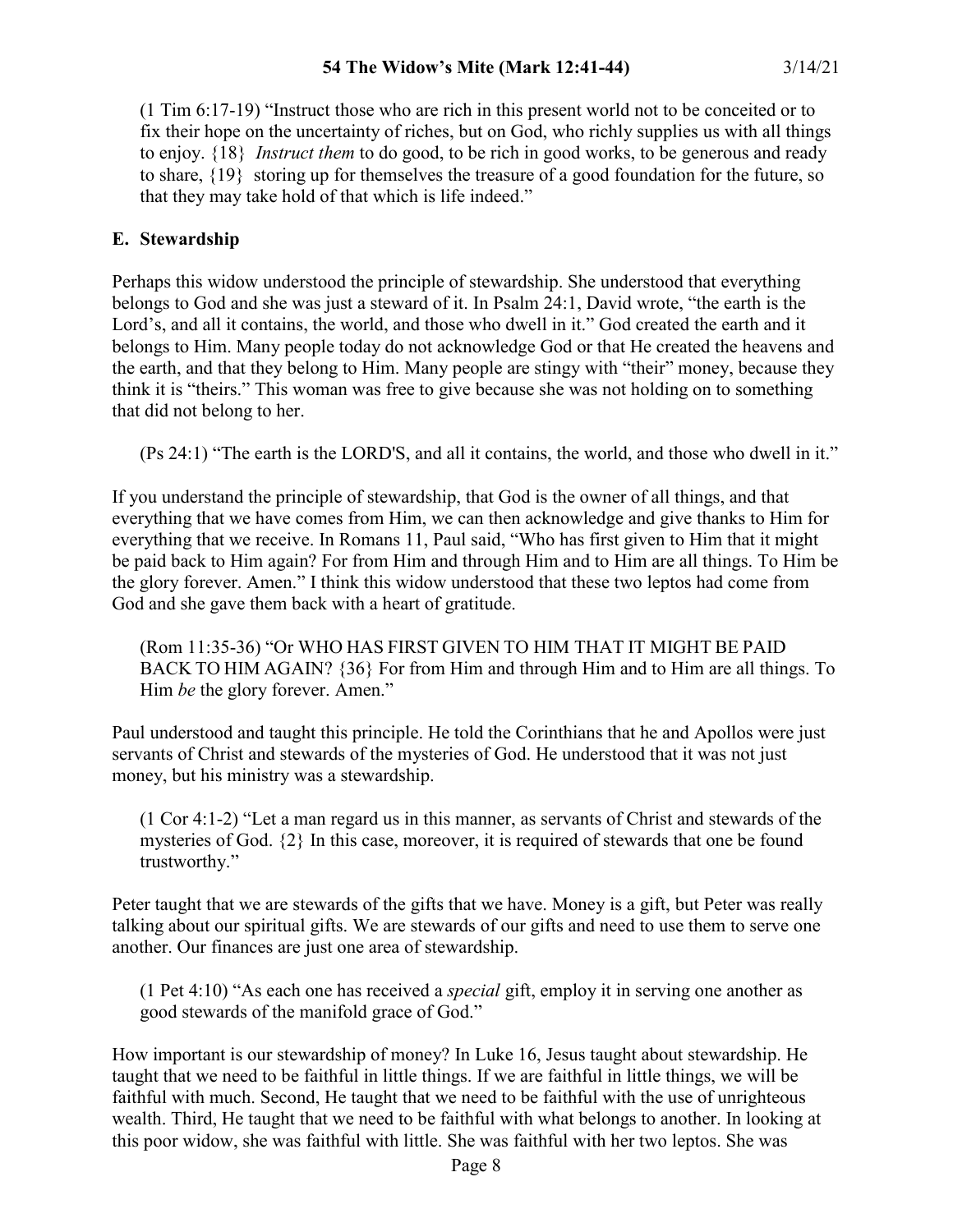(1 Tim 6:17-19) "Instruct those who are rich in this present world not to be conceited or to fix their hope on the uncertainty of riches, but on God, who richly supplies us with all things to enjoy. {18} *Instruct them* to do good, to be rich in good works, to be generous and ready to share, {19} storing up for themselves the treasure of a good foundation for the future, so that they may take hold of that which is life indeed."

## **E. Stewardship**

Perhaps this widow understood the principle of stewardship. She understood that everything belongs to God and she was just a steward of it. In Psalm 24:1, David wrote, "the earth is the Lord's, and all it contains, the world, and those who dwell in it." God created the earth and it belongs to Him. Many people today do not acknowledge God or that He created the heavens and the earth, and that they belong to Him. Many people are stingy with "their" money, because they think it is "theirs." This woman was free to give because she was not holding on to something that did not belong to her.

(Ps 24:1) "The earth is the LORD'S, and all it contains, the world, and those who dwell in it."

If you understand the principle of stewardship, that God is the owner of all things, and that everything that we have comes from Him, we can then acknowledge and give thanks to Him for everything that we receive. In Romans 11, Paul said, "Who has first given to Him that it might be paid back to Him again? For from Him and through Him and to Him are all things. To Him be the glory forever. Amen." I think this widow understood that these two leptos had come from God and she gave them back with a heart of gratitude.

(Rom 11:35-36) "Or WHO HAS FIRST GIVEN TO HIM THAT IT MIGHT BE PAID BACK TO HIM AGAIN? {36} For from Him and through Him and to Him are all things. To Him *be* the glory forever. Amen."

Paul understood and taught this principle. He told the Corinthians that he and Apollos were just servants of Christ and stewards of the mysteries of God. He understood that it was not just money, but his ministry was a stewardship.

(1 Cor 4:1-2) "Let a man regard us in this manner, as servants of Christ and stewards of the mysteries of God. {2} In this case, moreover, it is required of stewards that one be found trustworthy."

Peter taught that we are stewards of the gifts that we have. Money is a gift, but Peter was really talking about our spiritual gifts. We are stewards of our gifts and need to use them to serve one another. Our finances are just one area of stewardship.

(1 Pet 4:10) "As each one has received a *special* gift, employ it in serving one another as good stewards of the manifold grace of God."

How important is our stewardship of money? In Luke 16, Jesus taught about stewardship. He taught that we need to be faithful in little things. If we are faithful in little things, we will be faithful with much. Second, He taught that we need to be faithful with the use of unrighteous wealth. Third, He taught that we need to be faithful with what belongs to another. In looking at this poor widow, she was faithful with little. She was faithful with her two leptos. She was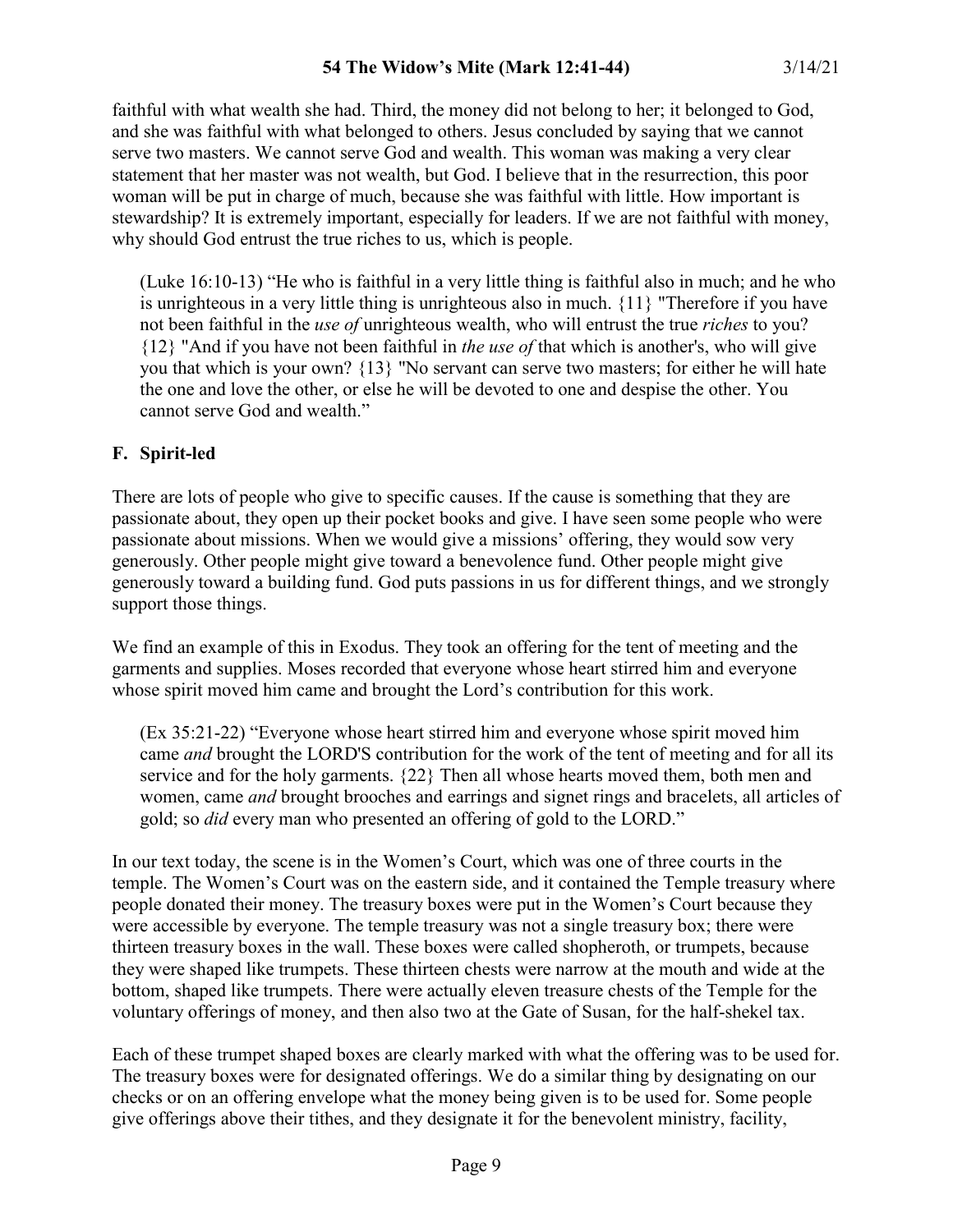faithful with what wealth she had. Third, the money did not belong to her; it belonged to God, and she was faithful with what belonged to others. Jesus concluded by saying that we cannot serve two masters. We cannot serve God and wealth. This woman was making a very clear statement that her master was not wealth, but God. I believe that in the resurrection, this poor woman will be put in charge of much, because she was faithful with little. How important is stewardship? It is extremely important, especially for leaders. If we are not faithful with money, why should God entrust the true riches to us, which is people.

(Luke 16:10-13) "He who is faithful in a very little thing is faithful also in much; and he who is unrighteous in a very little thing is unrighteous also in much. {11} "Therefore if you have not been faithful in the *use of* unrighteous wealth, who will entrust the true *riches* to you? {12} "And if you have not been faithful in *the use of* that which is another's, who will give you that which is your own? {13} "No servant can serve two masters; for either he will hate the one and love the other, or else he will be devoted to one and despise the other. You cannot serve God and wealth."

# **F. Spirit-led**

There are lots of people who give to specific causes. If the cause is something that they are passionate about, they open up their pocket books and give. I have seen some people who were passionate about missions. When we would give a missions' offering, they would sow very generously. Other people might give toward a benevolence fund. Other people might give generously toward a building fund. God puts passions in us for different things, and we strongly support those things.

We find an example of this in Exodus. They took an offering for the tent of meeting and the garments and supplies. Moses recorded that everyone whose heart stirred him and everyone whose spirit moved him came and brought the Lord's contribution for this work.

(Ex 35:21-22) "Everyone whose heart stirred him and everyone whose spirit moved him came *and* brought the LORD'S contribution for the work of the tent of meeting and for all its service and for the holy garments. {22} Then all whose hearts moved them, both men and women, came *and* brought brooches and earrings and signet rings and bracelets, all articles of gold; so *did* every man who presented an offering of gold to the LORD."

In our text today, the scene is in the Women's Court, which was one of three courts in the temple. The Women's Court was on the eastern side, and it contained the Temple treasury where people donated their money. The treasury boxes were put in the Women's Court because they were accessible by everyone. The temple treasury was not a single treasury box; there were thirteen treasury boxes in the wall. These boxes were called shopheroth, or trumpets, because they were shaped like trumpets. These thirteen chests were narrow at the mouth and wide at the bottom, shaped like trumpets. There were actually eleven treasure chests of the Temple for the voluntary offerings of money, and then also two at the Gate of Susan, for the half-shekel tax.

Each of these trumpet shaped boxes are clearly marked with what the offering was to be used for. The treasury boxes were for designated offerings. We do a similar thing by designating on our checks or on an offering envelope what the money being given is to be used for. Some people give offerings above their tithes, and they designate it for the benevolent ministry, facility,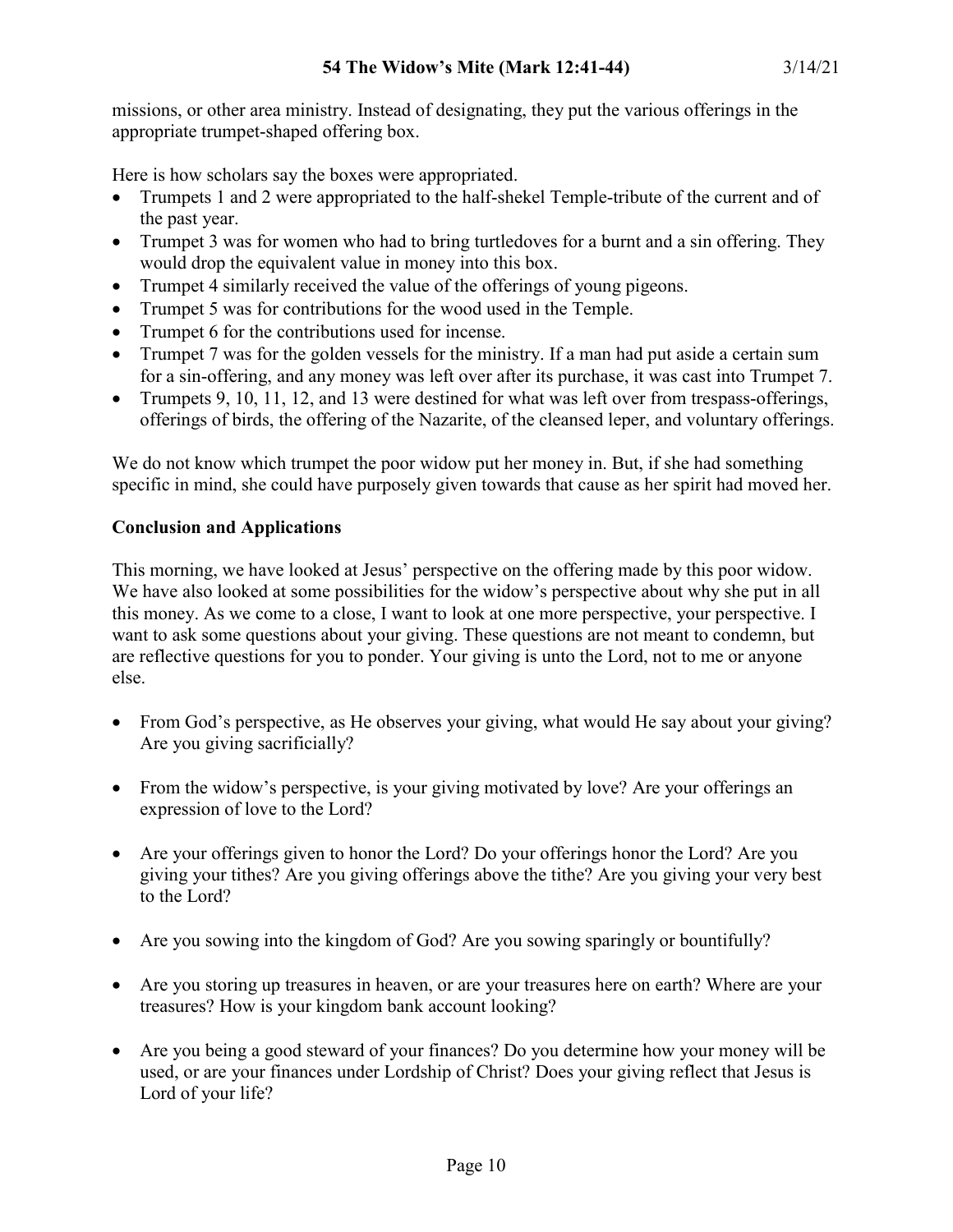missions, or other area ministry. Instead of designating, they put the various offerings in the appropriate trumpet-shaped offering box.

Here is how scholars say the boxes were appropriated.

- Trumpets 1 and 2 were appropriated to the half-shekel Temple-tribute of the current and of the past year.
- Trumpet 3 was for women who had to bring turtledoves for a burnt and a sin offering. They would drop the equivalent value in money into this box.
- Trumpet 4 similarly received the value of the offerings of young pigeons.
- Trumpet 5 was for contributions for the wood used in the Temple.
- Trumpet 6 for the contributions used for incense.
- Trumpet 7 was for the golden vessels for the ministry. If a man had put aside a certain sum for a sin-offering, and any money was left over after its purchase, it was cast into Trumpet 7.
- Trumpets 9, 10, 11, 12, and 13 were destined for what was left over from trespass-offerings, offerings of birds, the offering of the Nazarite, of the cleansed leper, and voluntary offerings.

We do not know which trumpet the poor widow put her money in. But, if she had something specific in mind, she could have purposely given towards that cause as her spirit had moved her.

## **Conclusion and Applications**

This morning, we have looked at Jesus' perspective on the offering made by this poor widow. We have also looked at some possibilities for the widow's perspective about why she put in all this money. As we come to a close, I want to look at one more perspective, your perspective. I want to ask some questions about your giving. These questions are not meant to condemn, but are reflective questions for you to ponder. Your giving is unto the Lord, not to me or anyone else.

- From God's perspective, as He observes your giving, what would He say about your giving? Are you giving sacrificially?
- From the widow's perspective, is your giving motivated by love? Are your offerings an expression of love to the Lord?
- Are your offerings given to honor the Lord? Do your offerings honor the Lord? Are you giving your tithes? Are you giving offerings above the tithe? Are you giving your very best to the Lord?
- Are you sowing into the kingdom of God? Are you sowing sparingly or bountifully?
- Are you storing up treasures in heaven, or are your treasures here on earth? Where are your treasures? How is your kingdom bank account looking?
- Are you being a good steward of your finances? Do you determine how your money will be used, or are your finances under Lordship of Christ? Does your giving reflect that Jesus is Lord of your life?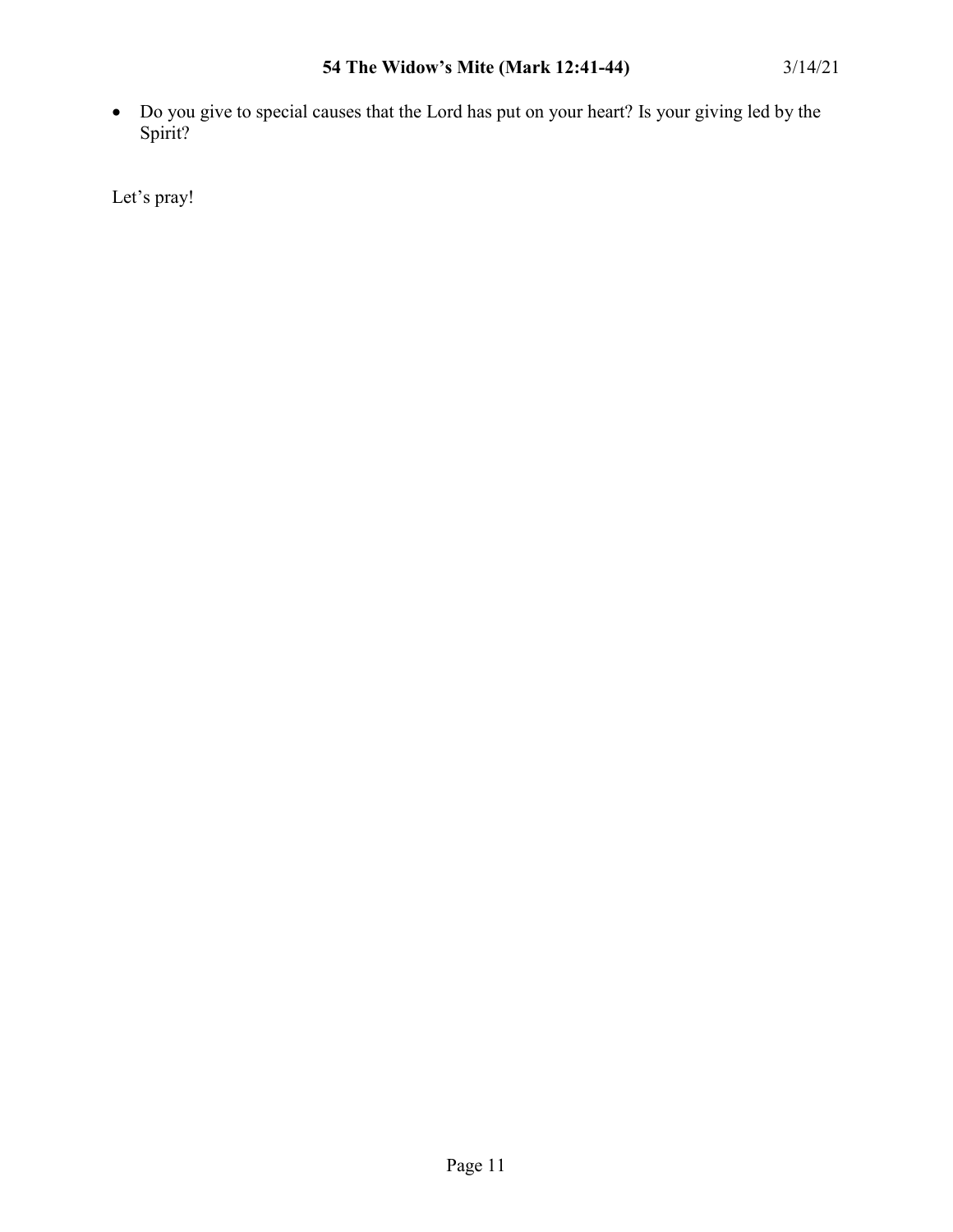• Do you give to special causes that the Lord has put on your heart? Is your giving led by the Spirit?

Let's pray!